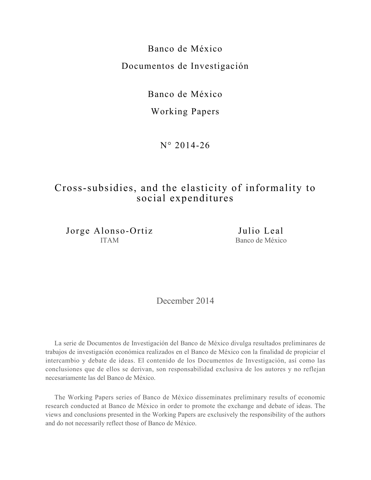Banco de México Documentos de Investigación

Banco de México

# Working Papers

N° 2014-26

# Cross-subsidies, and the elasticity of informality to social expenditures

Jorge Alonso-Ortiz ITAM

Julio Leal Banco de México

December 2014

La serie de Documentos de Investigación del Banco de México divulga resultados preliminares de trabajos de investigación económica realizados en el Banco de México con la finalidad de propiciar el intercambio y debate de ideas. El contenido de los Documentos de Investigación, así como las conclusiones que de ellos se derivan, son responsabilidad exclusiva de los autores y no reflejan necesariamente las del Banco de México.

The Working Papers series of Banco de México disseminates preliminary results of economic research conducted at Banco de México in order to promote the exchange and debate of ideas. The views and conclusions presented in the Working Papers are exclusively the responsibility of the authors and do not necessarily reflect those of Banco de México.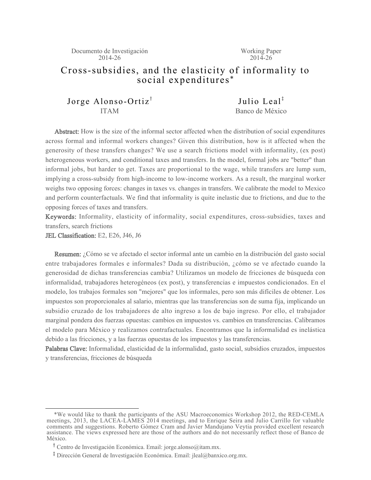Documento de Investigación 2014-26

Working Paper 2014-26

# Cross-subsidies, and the elasticity of informality to social expenditures\*

Jorge Alonso-Ortiz<sup> $\dagger$ </sup> ITAM

Iulio Leal<sup> $\ddagger$ </sup> Banco de México

Abstract: How is the size of the informal sector affected when the distribution of social expenditures across formal and informal workers changes? Given this distribution, how is it affected when the generosity of these transfers changes? We use a search frictions model with informality, (ex post) heterogeneous workers, and conditional taxes and transfers. In the model, formal jobs are "better" than informal jobs, but harder to get. Taxes are proportional to the wage, while transfers are lump sum, implying a cross-subsidy from high-income to low-income workers. As a result, the marginal worker weighs two opposing forces: changes in taxes vs. changes in transfers. We calibrate the model to Mexico and perform counterfactuals. We find that informality is quite inelastic due to frictions, and due to the opposing forces of taxes and transfers.

Keywords: Informality, elasticity of informality, social expenditures, cross-subsidies, taxes and transfers, search frictions

JEL Classification: E2, E26, J46, J6

Resumen: ¿Cómo se ve afectado el sector informal ante un cambio en la distribución del gasto social entre trabajadores formales e informales? Dada su distribución, ¿cómo se ve afectado cuando la generosidad de dichas transferencias cambia? Utilizamos un modelo de fricciones de búsqueda con informalidad, trabajadores heterogéneos (ex post), y transferencias e impuestos condicionados. En el modelo, los trabajos formales son "mejores" que los informales, pero son más difíciles de obtener. Los impuestos son proporcionales al salario, mientras que las transferencias son de suma fija, implicando un subsidio cruzado de los trabajadores de alto ingreso a los de bajo ingreso. Por ello, el trabajador marginal pondera dos fuerzas opuestas: cambios en impuestos vs. cambios en transferencias. Calibramos el modelo para México y realizamos contrafactuales. Encontramos que la informalidad es inelástica debido a las fricciones, y a las fuerzas opuestas de los impuestos y las transferencias.

Palabras Clave: Informalidad, elasticidad de la informalidad, gasto social, subsidios cruzados, impuestos y transferencias, fricciones de búsqueda

 <sup>\*</sup>We would like to thank the participants of the ASU Macroeconomics Workshop 2012, the RED-CEMLA meetings, 2013, the LACEA-LAMES 2014 meetings, and to Enrique Seira and Julio Carrillo for valuable comments and suggestions. Roberto Gómez Cram and Javier Mandujano Veytia provided excellent research assistance. The views expressed here are those of the authors and do not necessarily reflect those of Banco de México.

<sup>&</sup>lt;sup>T</sup> Centro de Investigación Económica. Email: jorge.alonso@itam.mx.

<sup>&</sup>lt;sup>1</sup> Dirección General de Investigación Económica. Email: jleal@banxico.org.mx.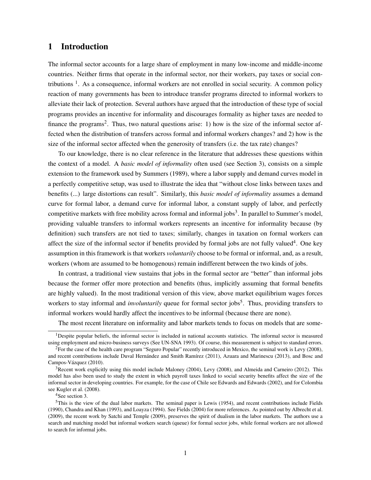# 1 Introduction

The informal sector accounts for a large share of employment in many low-income and middle-income countries. Neither firms that operate in the informal sector, nor their workers, pay taxes or social contributions <sup>1</sup>. As a consequence, informal workers are not enrolled in social security. A common policy reaction of many governments has been to introduce transfer programs directed to informal workers to alleviate their lack of protection. Several authors have argued that the introduction of these type of social programs provides an incentive for informality and discourages formality as higher taxes are needed to finance the programs<sup>2</sup>. Thus, two natural questions arise: 1) how is the size of the informal sector affected when the distribution of transfers across formal and informal workers changes? and 2) how is the size of the informal sector affected when the generosity of transfers (i.e. the tax rate) changes?

To our knowledge, there is no clear reference in the literature that addresses these questions within the context of a model. A *basic model of informality* often used (see Section 3), consists on a simple extension to the framework used by Summers (1989), where a labor supply and demand curves model in a perfectly competitive setup, was used to illustrate the idea that "without close links between taxes and benefits (...) large distortions can result". Similarly, this *basic model of informality* assumes a demand curve for formal labor, a demand curve for informal labor, a constant supply of labor, and perfectly competitive markets with free mobility across formal and informal jobs<sup>3</sup>. In parallel to Summer's model, providing valuable transfers to informal workers represents an incentive for informality because (by definition) such transfers are not tied to taxes; similarly, changes in taxation on formal workers can affect the size of the informal sector if benefits provided by formal jobs are not fully valued<sup>4</sup>. One key assumption in this framework is that workers *voluntarily* choose to be formal or informal, and, as a result, workers (whom are assumed to be homogenous) remain indifferent between the two kinds of jobs.

In contrast, a traditional view sustains that jobs in the formal sector are "better" than informal jobs because the former offer more protection and benefits (thus, implicitly assuming that formal benefits are highly valued). In the most traditional version of this view, above market equilibrium wages forces workers to stay informal and *involuntarily* queue for formal sector jobs<sup>5</sup>. Thus, providing transfers to informal workers would hardly affect the incentives to be informal (because there are none).

The most recent literature on informality and labor markets tends to focus on models that are some-

<sup>4</sup>See section 3.

<sup>&</sup>lt;sup>1</sup>Despite popular beliefs, the informal sector is included in national accounts statistics. The informal sector is measured using employment and micro-business surveys (See UN-SNA 1993). Of course, this measurement is subject to standard errors.

 ${}^{2}$ For the case of the health care program "Seguro Popular" recently introduced in Mexico, the seminal work is Levy (2008), and recent contributions include Duval Hernández and Smith Ramírez (2011), Azuara and Marinescu (2013), and Bosc and Campos-Vázquez (2010).

 $3R$ ecent work explicitly using this model include Maloney (2004), Levy (2008), and Almeida and Carneiro (2012). This model has also been used to study the extent in which payroll taxes linked to social security benefits affect the size of the informal sector in developing countries. For example, for the case of Chile see Edwards and Edwards (2002), and for Colombia see Kugler et al. (2008).

<sup>5</sup>This is the view of the dual labor markets. The seminal paper is Lewis (1954), and recent contributions include Fields (1990), Chandra and Khan (1993), and Loayza (1994). See Fields (2004) for more references. As pointed out by Albrecht et al. (2009), the recent work by Satchi and Temple (2009), preserves the spirit of dualism in the labor markets. The authors use a search and matching model but informal workers search (queue) for formal sector jobs, while formal workers are not allowed to search for informal jobs.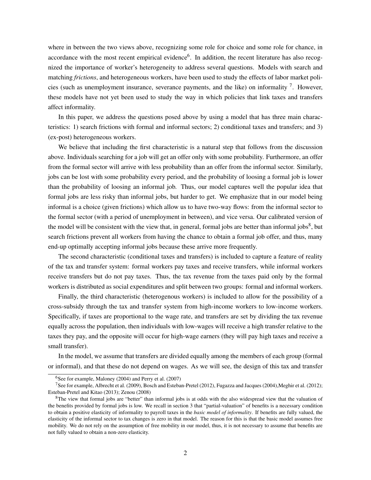where in between the two views above, recognizing some role for choice and some role for chance, in accordance with the most recent empirical evidence<sup>6</sup>. In addition, the recent literature has also recognized the importance of worker's heterogeneity to address several questions. Models with search and matching *frictions*, and heterogeneous workers, have been used to study the effects of labor market policies (such as unemployment insurance, severance payments, and the like) on informality  $\frac{7}{1}$ . However, these models have not yet been used to study the way in which policies that link taxes and transfers affect informality.

In this paper, we address the questions posed above by using a model that has three main characteristics: 1) search frictions with formal and informal sectors; 2) conditional taxes and transfers; and 3) (ex-post) heterogeneous workers.

We believe that including the first characteristic is a natural step that follows from the discussion above. Individuals searching for a job will get an offer only with some probability. Furthermore, an offer from the formal sector will arrive with less probability than an offer from the informal sector. Similarly, jobs can be lost with some probability every period, and the probability of loosing a formal job is lower than the probability of loosing an informal job. Thus, our model captures well the popular idea that formal jobs are less risky than informal jobs, but harder to get. We emphasize that in our model being informal is a choice (given frictions) which allow us to have two-way flows: from the informal sector to the formal sector (with a period of unemployment in between), and vice versa. Our calibrated version of the model will be consistent with the view that, in general, formal jobs are better than informal jobs<sup>8</sup>, but search frictions prevent all workers from having the chance to obtain a formal job offer, and thus, many end-up optimally accepting informal jobs because these arrive more frequently.

The second characteristic (conditional taxes and transfers) is included to capture a feature of reality of the tax and transfer system: formal workers pay taxes and receive transfers, while informal workers receive transfers but do not pay taxes. Thus, the tax revenue from the taxes paid only by the formal workers is distributed as social expenditures and split between two groups: formal and informal workers.

Finally, the third characteristic (heterogenous workers) is included to allow for the possibility of a cross-subsidy through the tax and transfer system from high-income workers to low-income workers. Specifically, if taxes are proportional to the wage rate, and transfers are set by dividing the tax revenue equally across the population, then individuals with low-wages will receive a high transfer relative to the taxes they pay, and the opposite will occur for high-wage earners (they will pay high taxes and receive a small transfer).

In the model, we assume that transfers are divided equally among the members of each group (formal or informal), and that these do not depend on wages. As we will see, the design of this tax and transfer

 $6$ See for example, Maloney (2004) and Perry et al. (2007)

<sup>&</sup>lt;sup>7</sup>See for example, Albrecht et al. (2009), Bosch and Esteban-Pretel (2012), Fugazza and Jacques (2004), Meghir et al. (2012); Esteban-Pretel and Kitao (2013); Zenou (2008)

 ${}^{8}$ The view that formal jobs are "better" than informal jobs is at odds with the also widespread view that the valuation of the benefits provided by formal jobs is low. We recall in section 3 that "partial-valuation" of benefits is a necessary condition to obtain a positive elasticity of informality to payroll taxes in the *basic model of informality*. If benefits are fully valued, the elasticity of the informal sector to tax changes is zero in that model. The reason for this is that the basic model assumes free mobility. We do not rely on the assumption of free mobility in our model, thus, it is not necessary to assume that benefits are not fully valued to obtain a non-zero elasticity.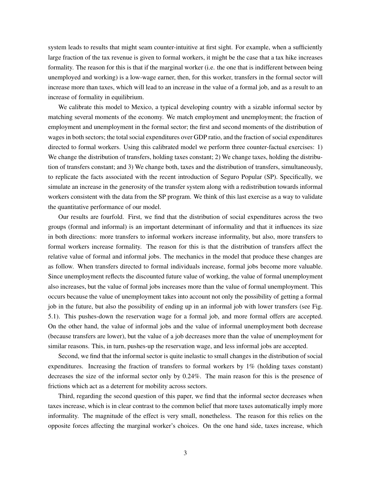system leads to results that might seam counter-intuitive at first sight. For example, when a sufficiently large fraction of the tax revenue is given to formal workers, it might be the case that a tax hike increases formality. The reason for this is that if the marginal worker (i.e. the one that is indifferent between being unemployed and working) is a low-wage earner, then, for this worker, transfers in the formal sector will increase more than taxes, which will lead to an increase in the value of a formal job, and as a result to an increase of formality in equilibrium.

We calibrate this model to Mexico, a typical developing country with a sizable informal sector by matching several moments of the economy. We match employment and unemployment; the fraction of employment and unemployment in the formal sector; the first and second moments of the distribution of wages in both sectors; the total social expenditures over GDP ratio, and the fraction of social expenditures directed to formal workers. Using this calibrated model we perform three counter-factual exercises: 1) We change the distribution of transfers, holding taxes constant; 2) We change taxes, holding the distribution of transfers constant; and 3) We change both, taxes and the distribution of transfers, simultaneously, to replicate the facts associated with the recent introduction of Seguro Popular (SP). Specifically, we simulate an increase in the generosity of the transfer system along with a redistribution towards informal workers consistent with the data from the SP program. We think of this last exercise as a way to validate the quantitative performance of our model.

Our results are fourfold. First, we find that the distribution of social expenditures across the two groups (formal and informal) is an important determinant of informality and that it influences its size in both directions: more transfers to informal workers increase informality, but also, more transfers to formal workers increase formality. The reason for this is that the distribution of transfers affect the relative value of formal and informal jobs. The mechanics in the model that produce these changes are as follow. When transfers directed to formal individuals increase, formal jobs become more valuable. Since unemployment reflects the discounted future value of working, the value of formal unemployment also increases, but the value of formal jobs increases more than the value of formal unemployment. This occurs because the value of unemployment takes into account not only the possibility of getting a formal job in the future, but also the possibility of ending up in an informal job with lower transfers (see Fig. 5.1). This pushes-down the reservation wage for a formal job, and more formal offers are accepted. On the other hand, the value of informal jobs and the value of informal unemployment both decrease (because transfers are lower), but the value of a job decreases more than the value of unemployment for similar reasons. This, in turn, pushes-up the reservation wage, and less informal jobs are accepted.

Second, we find that the informal sector is quite inelastic to small changes in the distribution of social expenditures. Increasing the fraction of transfers to formal workers by 1% (holding taxes constant) decreases the size of the informal sector only by 0.24%. The main reason for this is the presence of frictions which act as a deterrent for mobility across sectors.

Third, regarding the second question of this paper, we find that the informal sector decreases when taxes increase, which is in clear contrast to the common belief that more taxes automatically imply more informality. The magnitude of the effect is very small, nonetheless. The reason for this relies on the opposite forces affecting the marginal worker's choices. On the one hand side, taxes increase, which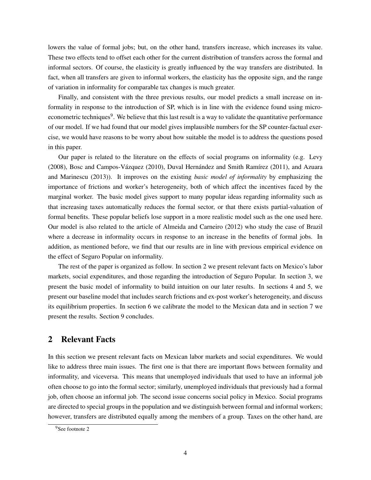lowers the value of formal jobs; but, on the other hand, transfers increase, which increases its value. These two effects tend to offset each other for the current distribution of transfers across the formal and informal sectors. Of course, the elasticity is greatly influenced by the way transfers are distributed. In fact, when all transfers are given to informal workers, the elasticity has the opposite sign, and the range of variation in informality for comparable tax changes is much greater.

Finally, and consistent with the three previous results, our model predicts a small increase on informality in response to the introduction of SP, which is in line with the evidence found using microeconometric techniques<sup>9</sup>. We believe that this last result is a way to validate the quantitative performance of our model. If we had found that our model gives implausible numbers for the SP counter-factual exercise, we would have reasons to be worry about how suitable the model is to address the questions posed in this paper.

Our paper is related to the literature on the effects of social programs on informality (e.g. Levy (2008), Bosc and Campos-Vázquez (2010), Duval Hernández and Smith Ramírez (2011), and Azuara and Marinescu (2013)). It improves on the existing *basic model of informality* by emphasizing the importance of frictions and worker's heterogeneity, both of which affect the incentives faced by the marginal worker. The basic model gives support to many popular ideas regarding informality such as that increasing taxes automatically reduces the formal sector, or that there exists partial-valuation of formal benefits. These popular beliefs lose support in a more realistic model such as the one used here. Our model is also related to the article of Almeida and Carneiro (2012) who study the case of Brazil where a decrease in informality occurs in response to an increase in the benefits of formal jobs. In addition, as mentioned before, we find that our results are in line with previous empirical evidence on the effect of Seguro Popular on informality.

The rest of the paper is organized as follow. In section 2 we present relevant facts on Mexico's labor markets, social expenditures, and those regarding the introduction of Seguro Popular. In section 3, we present the basic model of informality to build intuition on our later results. In sections 4 and 5, we present our baseline model that includes search frictions and ex-post worker's heterogeneity, and discuss its equilibrium properties. In section 6 we calibrate the model to the Mexican data and in section 7 we present the results. Section 9 concludes.

# 2 Relevant Facts

In this section we present relevant facts on Mexican labor markets and social expenditures. We would like to address three main issues. The first one is that there are important flows between formality and informality, and viceversa. This means that unemployed individuals that used to have an informal job often choose to go into the formal sector; similarly, unemployed individuals that previously had a formal job, often choose an informal job. The second issue concerns social policy in Mexico. Social programs are directed to special groups in the population and we distinguish between formal and informal workers; however, transfers are distributed equally among the members of a group. Taxes on the other hand, are

<sup>&</sup>lt;sup>9</sup>See footnote 2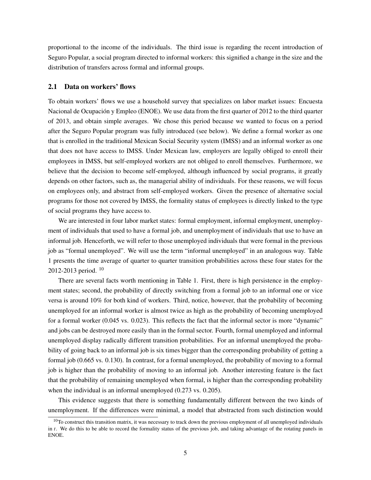proportional to the income of the individuals. The third issue is regarding the recent introduction of Seguro Popular, a social program directed to informal workers: this signified a change in the size and the distribution of transfers across formal and informal groups.

#### 2.1 Data on workers' flows

To obtain workers' flows we use a household survey that specializes on labor market issues: Encuesta Nacional de Ocupación y Empleo (ENOE). We use data from the first quarter of 2012 to the third quarter of 2013, and obtain simple averages. We chose this period because we wanted to focus on a period after the Seguro Popular program was fully introduced (see below). We define a formal worker as one that is enrolled in the traditional Mexican Social Security system (IMSS) and an informal worker as one that does not have access to IMSS. Under Mexican law, employers are legally obliged to enroll their employees in IMSS, but self-employed workers are not obliged to enroll themselves. Furthermore, we believe that the decision to become self-employed, although influenced by social programs, it greatly depends on other factors, such as, the managerial ability of individuals. For these reasons, we will focus on employees only, and abstract from self-employed workers. Given the presence of alternative social programs for those not covered by IMSS, the formality status of employees is directly linked to the type of social programs they have access to.

We are interested in four labor market states: formal employment, informal employment, unemployment of individuals that used to have a formal job, and unemployment of individuals that use to have an informal job. Henceforth, we will refer to those unemployed individuals that were formal in the previous job as "formal unemployed". We will use the term "informal unemployed" in an analogous way. Table 1 presents the time average of quarter to quarter transition probabilities across these four states for the 2012-2013 period. <sup>10</sup>

There are several facts worth mentioning in Table 1. First, there is high persistence in the employment states; second, the probability of directly switching from a formal job to an informal one or vice versa is around 10% for both kind of workers. Third, notice, however, that the probability of becoming unemployed for an informal worker is almost twice as high as the probability of becoming unemployed for a formal worker (0.045 vs. 0.023). This reflects the fact that the informal sector is more "dynamic" and jobs can be destroyed more easily than in the formal sector. Fourth, formal unemployed and informal unemployed display radically different transition probabilities. For an informal unemployed the probability of going back to an informal job is six times bigger than the corresponding probability of getting a formal job (0.665 vs. 0.130). In contrast, for a formal unemployed, the probability of moving to a formal job is higher than the probability of moving to an informal job. Another interesting feature is the fact that the probability of remaining unemployed when formal, is higher than the corresponding probability when the individual is an informal unemployed (0.273 vs. 0.205).

This evidence suggests that there is something fundamentally different between the two kinds of unemployment. If the differences were minimal, a model that abstracted from such distinction would

 $10$ To construct this transition matrix, it was necessary to track down the previous employment of all unemployed individuals in *t*. We do this to be able to record the formality status of the previous job, and taking advantage of the rotating panels in ENOE.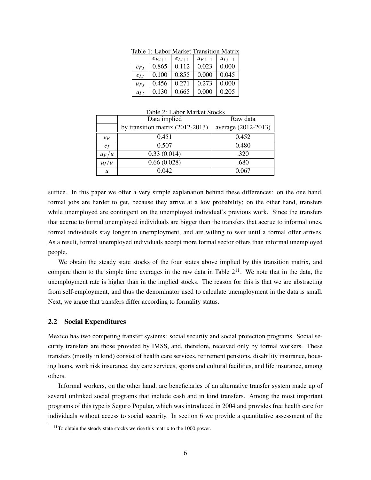|           | тане г. еанн |             | TVIATKEL TTAIISILIOILIVIALITX |             |
|-----------|--------------|-------------|-------------------------------|-------------|
|           | $e_{F,t+1}$  | $e_{I,t+1}$ | $u_{F,t+1}$                   | $u_{I,t+1}$ |
| $e_{F,t}$ | 0.865        | 0.112       | 0.023                         | 0.000       |
| $e_{I,t}$ | 0.100        | 0.855       | 0.000                         | 0.045       |
| $u_{F,t}$ | 0.456        | 0.271       | 0.273                         | 0.000       |
| $u_{I,t}$ | 0.130        | 0.665       | 0.000                         | 0.205       |

Table 1: Labor Market Transition Matrix

|                  | Data implied                     | Raw data            |
|------------------|----------------------------------|---------------------|
|                  | by transition matrix (2012-2013) | average (2012-2013) |
| $e_F$            | 0.451                            | 0.452               |
| $e_I$            | 0.507                            | 0.480               |
| $u_F/u$          | 0.33(0.014)                      | .320                |
| $u_I/u$          | 0.66(0.028)                      | .680                |
| $\boldsymbol{u}$ | 0.042                            | 0.067               |

Table 2: Labor Market Stocks

suffice. In this paper we offer a very simple explanation behind these differences: on the one hand, formal jobs are harder to get, because they arrive at a low probability; on the other hand, transfers while unemployed are contingent on the unemployed individual's previous work. Since the transfers that accrue to formal unemployed individuals are bigger than the transfers that accrue to informal ones, formal individuals stay longer in unemployment, and are willing to wait until a formal offer arrives. As a result, formal unemployed individuals accept more formal sector offers than informal unemployed people.

We obtain the steady state stocks of the four states above implied by this transition matrix, and compare them to the simple time averages in the raw data in Table  $2^{11}$ . We note that in the data, the unemployment rate is higher than in the implied stocks. The reason for this is that we are abstracting from self-employment, and thus the denominator used to calculate unemployment in the data is small. Next, we argue that transfers differ according to formality status.

#### 2.2 Social Expenditures

Mexico has two competing transfer systems: social security and social protection programs. Social security transfers are those provided by IMSS, and, therefore, received only by formal workers. These transfers (mostly in kind) consist of health care services, retirement pensions, disability insurance, housing loans, work risk insurance, day care services, sports and cultural facilities, and life insurance, among others.

Informal workers, on the other hand, are beneficiaries of an alternative transfer system made up of several unlinked social programs that include cash and in kind transfers. Among the most important programs of this type is Seguro Popular, which was introduced in 2004 and provides free health care for individuals without access to social security. In section 6 we provide a quantitative assessment of the

<sup>&</sup>lt;sup>11</sup>To obtain the steady state stocks we rise this matrix to the 1000 power.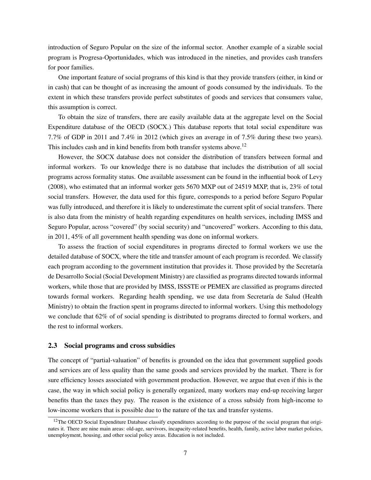introduction of Seguro Popular on the size of the informal sector. Another example of a sizable social program is Progresa-Oportunidades, which was introduced in the nineties, and provides cash transfers for poor families.

One important feature of social programs of this kind is that they provide transfers (either, in kind or in cash) that can be thought of as increasing the amount of goods consumed by the individuals. To the extent in which these transfers provide perfect substitutes of goods and services that consumers value, this assumption is correct.

To obtain the size of transfers, there are easily available data at the aggregate level on the Social Expenditure database of the OECD (SOCX.) This database reports that total social expenditure was 7.7% of GDP in 2011 and 7.4% in 2012 (which gives an average in of 7.5% during these two years). This includes cash and in kind benefits from both transfer systems above.<sup>12</sup>

However, the SOCX database does not consider the distribution of transfers between formal and informal workers. To our knowledge there is no database that includes the distribution of all social programs across formality status. One available assessment can be found in the influential book of Levy (2008), who estimated that an informal worker gets 5670 MXP out of 24519 MXP, that is, 23% of total social transfers. However, the data used for this figure, corresponds to a period before Seguro Popular was fully introduced, and therefore it is likely to underestimate the current split of social transfers. There is also data from the ministry of health regarding expenditures on health services, including IMSS and Seguro Popular, across "covered" (by social security) and "uncovered" workers. According to this data, in 2011, 45% of all government health spending was done on informal workers.

To assess the fraction of social expenditures in programs directed to formal workers we use the detailed database of SOCX, where the title and transfer amount of each program is recorded. We classify each program according to the government institution that provides it. Those provided by the Secretaría de Desarrollo Social (Social Development Ministry) are classified as programs directed towards informal workers, while those that are provided by IMSS, ISSSTE or PEMEX are classified as programs directed towards formal workers. Regarding health spending, we use data from Secretaría de Salud (Health Ministry) to obtain the fraction spent in programs directed to informal workers. Using this methodology we conclude that 62% of of social spending is distributed to programs directed to formal workers, and the rest to informal workers.

#### 2.3 Social programs and cross subsidies

The concept of "partial-valuation" of benefits is grounded on the idea that government supplied goods and services are of less quality than the same goods and services provided by the market. There is for sure efficiency losses associated with government production. However, we argue that even if this is the case, the way in which social policy is generally organized, many workers may end-up receiving larger benefits than the taxes they pay. The reason is the existence of a cross subsidy from high-income to low-income workers that is possible due to the nature of the tax and transfer systems.

<sup>&</sup>lt;sup>12</sup>The OECD Social Expenditure Database classify expenditures according to the purpose of the social program that originates it. There are nine main areas: old-age, survivors, incapacity-related benefits, health, family, active labor market policies, unemployment, housing, and other social policy areas. Education is not included.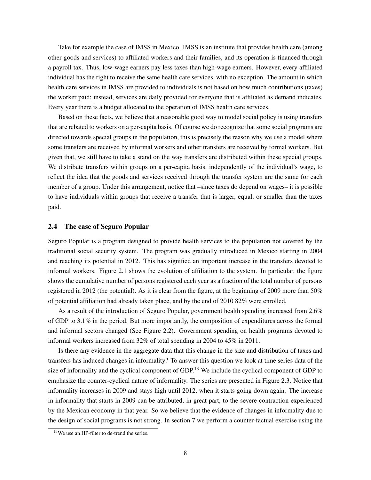Take for example the case of IMSS in Mexico. IMSS is an institute that provides health care (among other goods and services) to affiliated workers and their families, and its operation is financed through a payroll tax. Thus, low-wage earners pay less taxes than high-wage earners. However, every affiliated individual has the right to receive the same health care services, with no exception. The amount in which health care services in IMSS are provided to individuals is not based on how much contributions (taxes) the worker paid; instead, services are daily provided for everyone that is affiliated as demand indicates. Every year there is a budget allocated to the operation of IMSS health care services.

Based on these facts, we believe that a reasonable good way to model social policy is using transfers that are rebated to workers on a per-capita basis. Of course we do recognize that some social programs are directed towards special groups in the population, this is precisely the reason why we use a model where some transfers are received by informal workers and other transfers are received by formal workers. But given that, we still have to take a stand on the way transfers are distributed within these special groups. We distribute transfers within groups on a per-capita basis, independently of the individual's wage, to reflect the idea that the goods and services received through the transfer system are the same for each member of a group. Under this arrangement, notice that –since taxes do depend on wages– it is possible to have individuals within groups that receive a transfer that is larger, equal, or smaller than the taxes paid.

#### 2.4 The case of Seguro Popular

Seguro Popular is a program designed to provide health services to the population not covered by the traditional social security system. The program was gradually introduced in Mexico starting in 2004 and reaching its potential in 2012. This has signified an important increase in the transfers devoted to informal workers. Figure 2.1 shows the evolution of affiliation to the system. In particular, the figure shows the cumulative number of persons registered each year as a fraction of the total number of persons registered in 2012 (the potential). As it is clear from the figure, at the beginning of 2009 more than 50% of potential affiliation had already taken place, and by the end of 2010 82% were enrolled.

As a result of the introduction of Seguro Popular, government health spending increased from 2.6% of GDP to 3.1% in the period. But more importantly, the composition of expenditures across the formal and informal sectors changed (See Figure 2.2). Government spending on health programs devoted to informal workers increased from 32% of total spending in 2004 to 45% in 2011.

Is there any evidence in the aggregate data that this change in the size and distribution of taxes and transfers has induced changes in informality? To answer this question we look at time series data of the size of informality and the cyclical component of GDP.<sup>13</sup> We include the cyclical component of GDP to emphasize the counter-cyclical nature of informality. The series are presented in Figure 2.3. Notice that informality increases in 2009 and stays high until 2012, when it starts going down again. The increase in informality that starts in 2009 can be attributed, in great part, to the severe contraction experienced by the Mexican economy in that year. So we believe that the evidence of changes in informality due to the design of social programs is not strong. In section 7 we perform a counter-factual exercise using the

<sup>13</sup>We use an HP-filter to de-trend the series.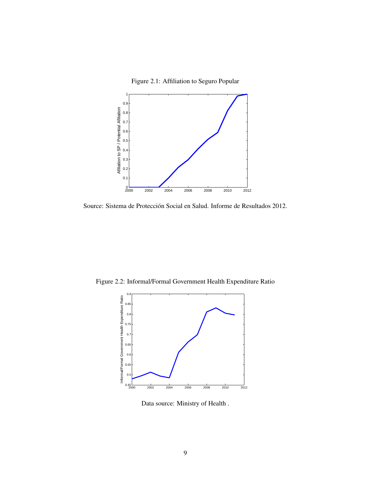Figure 2.1: Affiliation to Seguro Popular



Source: Sistema de Protección Social en Salud. Informe de Resultados 2012.

Figure 2.2: Informal/Formal Government Health Expenditure Ratio



Data source: Ministry of Health .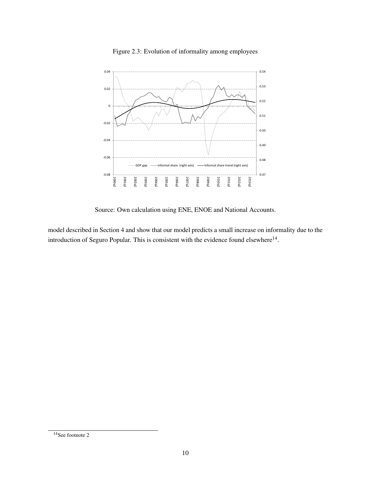

Figure 2.3: Evolution of informality among employees

Source: Own calculation using ENE, ENOE and National Accounts.

model described in Section 4 and show that our model predicts a small increase on informality due to the introduction of Seguro Popular. This is consistent with the evidence found elsewhere $^{14}$ .

 $14$ See footnote 2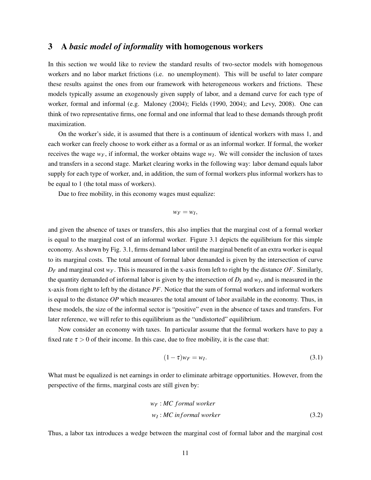# 3 A *basic model of informality* with homogenous workers

In this section we would like to review the standard results of two-sector models with homogenous workers and no labor market frictions (i.e. no unemployment). This will be useful to later compare these results against the ones from our framework with heterogeneous workers and frictions. These models typically assume an exogenously given supply of labor, and a demand curve for each type of worker, formal and informal (e.g. Maloney (2004); Fields (1990, 2004); and Levy, 2008). One can think of two representative firms, one formal and one informal that lead to these demands through profit maximization.

On the worker's side, it is assumed that there is a continuum of identical workers with mass 1, and each worker can freely choose to work either as a formal or as an informal worker. If formal, the worker receives the wage *wF*, if informal, the worker obtains wage *w<sup>I</sup>* . We will consider the inclusion of taxes and transfers in a second stage. Market clearing works in the following way: labor demand equals labor supply for each type of worker, and, in addition, the sum of formal workers plus informal workers has to be equal to 1 (the total mass of workers).

Due to free mobility, in this economy wages must equalize:

$$
w_F=w_I,
$$

and given the absence of taxes or transfers, this also implies that the marginal cost of a formal worker is equal to the marginal cost of an informal worker. Figure 3.1 depicts the equilibrium for this simple economy. As shown by Fig. 3.1, firms demand labor until the marginal benefit of an extra worker is equal to its marginal costs. The total amount of formal labor demanded is given by the intersection of curve  $D_F$  and marginal cost  $w_F$ . This is measured in the x-axis from left to right by the distance  $OF$ . Similarly, the quantity demanded of informal labor is given by the intersection of *D<sup>I</sup>* and *w<sup>I</sup>* , and is measured in the x-axis from right to left by the distance *PF*. Notice that the sum of formal workers and informal workers is equal to the distance *OP* which measures the total amount of labor available in the economy. Thus, in these models, the size of the informal sector is "positive" even in the absence of taxes and transfers. For later reference, we will refer to this equilibrium as the "undistorted" equilibrium.

Now consider an economy with taxes. In particular assume that the formal workers have to pay a fixed rate  $\tau > 0$  of their income. In this case, due to free mobility, it is the case that:

$$
(1 - \tau)w_F = w_I. \tag{3.1}
$$

What must be equalized is net earnings in order to eliminate arbitrage opportunities. However, from the perspective of the firms, marginal costs are still given by:

$$
w_F : MC \text{ formal worker}
$$
  

$$
w_I : MC \text{ informal worker}
$$
 (3.2)

Thus, a labor tax introduces a wedge between the marginal cost of formal labor and the marginal cost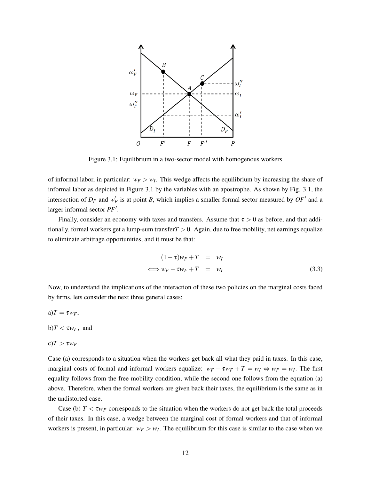

Figure 3.1: Equilibrium in a two-sector model with homogenous workers

of informal labor, in particular:  $w_F > w_I$ . This wedge affects the equilibrium by increasing the share of informal labor as depicted in Figure 3.1 by the variables with an apostrophe. As shown by Fig. 3.1, the intersection of  $D_F$  and  $w_F'$  is at point *B*, which implies a smaller formal sector measured by  $OF'$  and a larger informal sector PF'.

Finally, consider an economy with taxes and transfers. Assume that  $\tau > 0$  as before, and that additionally, formal workers get a lump-sum transfer*T* > 0. Again, due to free mobility, net earnings equalize to eliminate arbitrage opportunities, and it must be that:

$$
(1 - \tau)w_F + T = w_I
$$
  

$$
\iff w_F - \tau w_F + T = w_I
$$
 (3.3)

Now, to understand the implications of the interaction of these two policies on the marginal costs faced by firms, lets consider the next three general cases:

 $a)T = \tau w_F$ ,

 $b$ *T* <  $\tau w_F$ , and

 $c)T > \tau w_F.$ 

Case (a) corresponds to a situation when the workers get back all what they paid in taxes. In this case, marginal costs of formal and informal workers equalize:  $w_F - \tau w_F + T = w_I \Leftrightarrow w_F = w_I$ . The first equality follows from the free mobility condition, while the second one follows from the equation (a) above. Therefore, when the formal workers are given back their taxes, the equilibrium is the same as in the undistorted case.

Case (b)  $T < \tau w_F$  corresponds to the situation when the workers do not get back the total proceeds of their taxes. In this case, a wedge between the marginal cost of formal workers and that of informal workers is present, in particular:  $w_F > w_I$ . The equilibrium for this case is similar to the case when we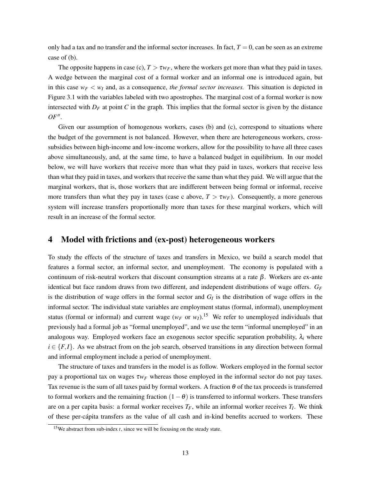only had a tax and no transfer and the informal sector increases. In fact,  $T = 0$ , can be seen as an extreme case of (b).

The opposite happens in case (c),  $T > \tau w_F$ , where the workers get more than what they paid in taxes. A wedge between the marginal cost of a formal worker and an informal one is introduced again, but in this case  $w_F < w_I$  and, as a consequence, *the formal sector increases*. This situation is depicted in Figure 3.1 with the variables labeled with two apostrophes. The marginal cost of a formal worker is now intersected with  $D_F$  at point C in the graph. This implies that the formal sector is given by the distance  $OF''.$ 

Given our assumption of homogenous workers, cases (b) and (c), correspond to situations where the budget of the government is not balanced. However, when there are heterogeneous workers, crosssubsidies between high-income and low-income workers, allow for the possibility to have all three cases above simultaneously, and, at the same time, to have a balanced budget in equilibrium. In our model below, we will have workers that receive more than what they paid in taxes, workers that receive less than what they paid in taxes, and workers that receive the same than what they paid. We will argue that the marginal workers, that is, those workers that are indifferent between being formal or informal, receive more transfers than what they pay in taxes (case c above,  $T > \tau w_F$ ). Consequently, a more generous system will increase transfers proportionally more than taxes for these marginal workers, which will result in an increase of the formal sector.

### 4 Model with frictions and (ex-post) heterogeneous workers

To study the effects of the structure of taxes and transfers in Mexico, we build a search model that features a formal sector, an informal sector, and unemployment. The economy is populated with a continuum of risk-neutral workers that discount consumption streams at a rate  $β$ . Workers are ex-ante identical but face random draws from two different, and independent distributions of wage offers.  $G_F$ is the distribution of wage offers in the formal sector and  $G_I$  is the distribution of wage offers in the informal sector. The individual state variables are employment status (formal, informal), unemployment status (formal or informal) and current wage ( $w_F$  or  $w_I$ ).<sup>15</sup> We refer to unemployed individuals that previously had a formal job as "formal unemployed", and we use the term "informal unemployed" in an analogous way. Employed workers face an exogenous sector specific separation probability,  $\lambda_i$  where  $i \in \{F, I\}$ . As we abstract from on the job search, observed transitions in any direction between formal and informal employment include a period of unemployment.

The structure of taxes and transfers in the model is as follow. Workers employed in the formal sector pay a proportional tax on wages τ*w<sup>F</sup>* whereas those employed in the informal sector do not pay taxes. Tax revenue is the sum of all taxes paid by formal workers. A fraction  $\theta$  of the tax proceeds is transferred to formal workers and the remaining fraction  $(1 - \theta)$  is transferred to informal workers. These transfers are on a per capita basis: a formal worker receives *TF*, while an informal worker receives *T<sup>I</sup>* . We think of these per-cápita transfers as the value of all cash and in-kind benefits accrued to workers. These

<sup>15</sup>We abstract from sub-index *t*, since we will be focusing on the steady state.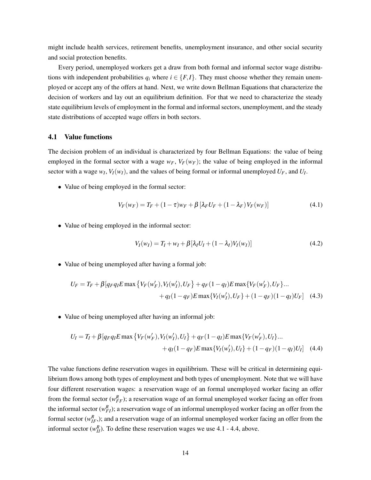might include health services, retirement benefits, unemployment insurance, and other social security and social protection benefits.

Every period, unemployed workers get a draw from both formal and informal sector wage distributions with independent probabilities  $q_i$  where  $i \in \{F, I\}$ . They must choose whether they remain unemployed or accept any of the offers at hand. Next, we write down Bellman Equations that characterize the decision of workers and lay out an equilibrium definition. For that we need to characterize the steady state equilibrium levels of employment in the formal and informal sectors, unemployment, and the steady state distributions of accepted wage offers in both sectors.

#### 4.1 Value functions

The decision problem of an individual is characterized by four Bellman Equations: the value of being employed in the formal sector with a wage  $w_F$ ,  $V_F(w_F)$ ; the value of being employed in the informal sector with a wage  $w_I$ ,  $V_I(w_I)$ , and the values of being formal or informal unemployed  $U_F$ , and  $U_I$ .

• Value of being employed in the formal sector:

$$
V_F(w_F) = T_F + (1 - \tau)w_F + \beta \left[\lambda_F U_F + (1 - \lambda_F)V_F(w_F)\right]
$$
\n(4.1)

• Value of being employed in the informal sector:

$$
V_I(w_I) = T_I + w_I + \beta [\lambda_I U_I + (1 - \lambda_I) V_I(w_I)] \tag{4.2}
$$

• Value of being unemployed after having a formal job:

$$
U_F = T_F + \beta [q_F q_I E \max \{ V_F(w'_F), V_I(w'_I), U_F \} + q_F (1 - q_I) E \max \{ V_F(w'_F), U_F \} ... + q_I (1 - q_F) E \max \{ V_I(w'_I), U_F \} + (1 - q_F) (1 - q_I) U_F ]
$$
(4.3)

• Value of being unemployed after having an informal job:

$$
U_I = T_I + \beta \left[ q_F q_I E \max \left\{ V_F(w'_F), V_I(w'_I), U_I \right\} + q_F (1 - q_I) E \max \left\{ V_F(w'_F), U_I \right\} \dots + q_I (1 - q_F) E \max \left\{ V_I(w'_I), U_I \right\} + (1 - q_F) (1 - q_I) U_I \right] \tag{4.4}
$$

The value functions define reservation wages in equilibrium. These will be critical in determining equilibrium flows among both types of employment and both types of unemployment. Note that we will have four different reservation wages: a reservation wage of an formal unemployed worker facing an offer from the formal sector  $(w_{FF}^R)$ ; a reservation wage of an formal unemployed worker facing an offer from the informal sector  $(w_{FI}^R)$ ; a reservation wage of an informal unemployed worker facing an offer from the formal sector  $(w_{IF}^R)$ ; and a reservation wage of an informal unemployed worker facing an offer from the informal sector  $(w_{II}^R)$ . To define these reservation wages we use 4.1 - 4.4, above.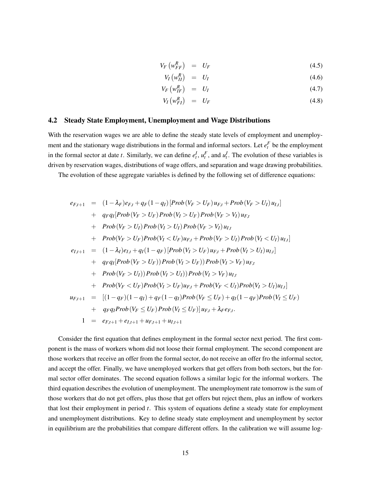$$
V_F \left( w_{FF}^R \right) = U_F \tag{4.5}
$$

$$
V_I \left( w_{II}^R \right) = U_I \tag{4.6}
$$

$$
V_F\left(w_{IF}^R\right) = U_I \tag{4.7}
$$

$$
V_I\left(w_{FI}^R\right) = U_F \tag{4.8}
$$

#### 4.2 Steady State Employment, Unemployment and Wage Distributions

With the reservation wages we are able to define the steady state levels of employment and unemployment and the stationary wage distributions in the formal and informal sectors. Let  $e_t^F$  be the employment in the formal sector at date *t*. Similarly, we can define  $e_t^I$ ,  $u_t^F$ , and  $u_t^I$ . The evolution of these variables is driven by reservation wages, distributions of wage offers, and separation and wage drawing probabilities.

The evolution of these aggregate variables is defined by the following set of difference equations:

$$
e_{F,t+1} = (1 - \lambda_F)e_{F,t} + q_F(1 - q_I)[Prob(V_F > U_F)u_{F,t} + Prob(V_F > U_I)u_{I,t}] + q_Fq_I[Prob(V_F > U_F) Prob(V_I > U_F) Prob(V_F > V_I)u_{F,t} + Prob(V_F > U_I) Prob(V_I > U_I) Prob(V_F > V_I)u_{I,t} + Prob(V_F > U_F)Prob(V_I < U_F)u_{F,t} + Prob(V_F > U_I) Prob(V_I < U_I)u_{I,t}] e_{I,t+1} = (1 - \lambda_I)e_{I,t} + q_I(1 - q_F)[Prob(V_I > U_F)u_{F,t} + Prob(V_I > U_I)u_{I,t}] + q_Fq_I[Prob(V_F > U_F)) Prob(V_I > U_F)) Prob(V_I > V_F)u_{F,t} + Prob(V_F > U_I)) Prob(V_I > U_I)) Prob(V_I > V_F)u_{I,t} + Prob(V_F < U_F)Prob(V_I > U_F)u_{F,t} + Prob(V_F < U_I)Prob(V_I > U_I)u_{I,t}] e_{F,t+1} = [(1 - q_F)(1 - q_I) + q_F(1 - q_I)Prob(V_F \le U_F) + q_I(1 - q_F)Prob(V_I \le U_F) + q_Fq_IProb(V_F \le U_F) Prob(V_I \le U_F)]u_{F,t} + \lambda_F e_{F,t}.
$$
  

$$
1 = e_{F,t+1} + e_{I,t+1} + u_{F,t+1} + u_{I,t+1}
$$

Consider the first equation that defines employment in the formal sector next period. The first component is the mass of workers whom did not loose their formal employment. The second component are those workers that receive an offer from the formal sector, do not receive an offer fro the informal sector, and accept the offer. Finally, we have unemployed workers that get offers from both sectors, but the formal sector offer dominates. The second equation follows a similar logic for the informal workers. The third equation describes the evolution of unemployment. The unemployment rate tomorrow is the sum of those workers that do not get offers, plus those that get offers but reject them, plus an inflow of workers that lost their employment in period *t*. This system of equations define a steady state for employment and unemployment distributions. Key to define steady state employment and unemployment by sector in equilibrium are the probabilities that compare different offers. In the calibration we will assume log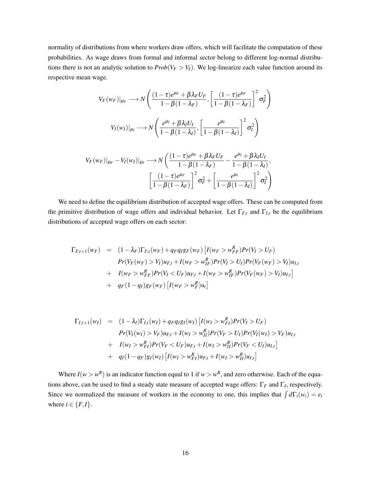normality of distributions from where workers draw offers, which will facilitate the computation of these probabilities. As wage draws from formal and informal sector belong to different log-normal distributions there is not an analytic solution to  $Prob(V_F > V_I)$ . We log-linearize each value function around its respective mean wage.

$$
V_F(w_F)|_{\mu_F} \longrightarrow N\left(\frac{(1-\tau)e^{\mu_F} + \beta \lambda_F U_F}{1-\beta(1-\lambda_F)}, \left[\frac{(1-\tau)e^{\mu_F}}{1-\beta(1-\lambda_F)}\right]^2 \sigma_F^2\right)
$$

$$
V_I(w_I)|_{\mu_I} \longrightarrow N\left(\frac{e^{\mu_I} + \beta \lambda_I U_I}{1-\beta(1-\lambda_I)}, \left[\frac{e^{\mu_I}}{1-\beta(1-\lambda_I)}\right]^2 \sigma_I^2\right)
$$

$$
V_F(w_F)|_{\mu_F} - V_I(w_I)|_{\mu_I} \longrightarrow N\left(\frac{(1-\tau)e^{\mu_F} + \beta \lambda_F U_F}{1-\beta(1-\lambda_F)} - \frac{e^{\mu_I} + \beta \lambda_I U_I}{1-\beta(1-\lambda_I)},\right)
$$

$$
\left[\frac{(1-\tau)e^{\mu_F}}{1-\beta(1-\lambda_F)}\right]^2 \sigma_F^2 + \left[\frac{e^{\mu_I}}{1-\beta(1-\lambda_I)}\right]^2 \sigma_I^2\right)
$$

We need to define the equilibrium distribution of accepted wage offers. These can be computed from the primitive distribution of wage offers and individual behavior. Let  $\Gamma_{F,t}$  and  $\Gamma_{I,t}$  be the equilibrium distributions of accepted wage offers on each sector:

$$
\Gamma_{F,t+1}(w_F) = (1 - \lambda_F)\Gamma_{F,t}(w_F) + q_F q_I g_F(w_F) [I(w_F > w_{FF}^R)Pr(V_I > U_F)
$$
  
\n
$$
Pr(V_F(w_F) > V_I)u_{F,t} + I(w_F > w_{IF}^R)Pr(V_I > U_I)Pr(V_F(w_F) > V_I)u_{I,t}
$$
  
\n
$$
+ I(w_F > w_{FF}^R)Pr(V_I < U_F)u_{F,t} + I(w_F > w_{IF}^R)Pr(V_F(w_F) > V_I)u_{I,t}]
$$
  
\n
$$
+ q_F(1 - q_I)g_F(w_F) [I(w_F > w_{F}^R)u_t]
$$

$$
\Gamma_{I,t+1}(w_I) = (1 - \lambda_I)\Gamma_{I,t}(w_I) + q_F q_I g_I(w_I) [I(w_I > w_{FI}^R)Pr(V_I > U_F)
$$
  
\n
$$
Pr(V_I(w_I) > V_F)u_{F,t} + I(w_I > w_{II}^R)Pr(V_F > U_I)Pr(V_I(w_I) > V_F)u_{I,t}
$$
  
\n
$$
+ I(w_I > w_{FI}^R)Pr(V_F < U_F)u_{F,t} + I(w_I > w_{II}^R)Pr(V_F < U_I)u_{I,t}]
$$
  
\n
$$
+ q_I(1 - q_F)g_I(w_I) [I(w_I > w_{FI}^R)u_{F,t} + I(w_I > w_{II}^R)u_{I,t}]
$$

Where  $I(w > w^R)$  is an indicator function equal to 1 if  $w > w^R$ , and zero otherwise. Each of the equations above, can be used to find a steady state measure of accepted wage offers: Γ*<sup>F</sup>* and Γ*<sup>I</sup>* , respectively. Since we normalized the measure of workers in the economy to one, this implies that  $\int d\Gamma_i(w_i) = e_i$ where  $i \in \{F, I\}$ .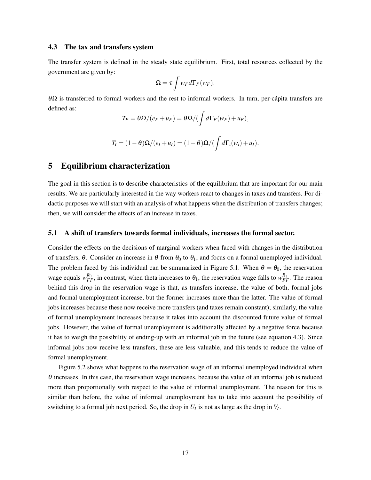#### 4.3 The tax and transfers system

The transfer system is defined in the steady state equilibrium. First, total resources collected by the government are given by:

$$
\Omega = \tau \int w_F d\Gamma_F(w_F).
$$

 $\theta Ω$  is transferred to formal workers and the rest to informal workers. In turn, per-cápita transfers are defined as:

$$
T_F = \theta \Omega / (e_F + u_F) = \theta \Omega / (\int d\Gamma_F(w_F) + u_F),
$$

$$
T_I = (1 - \theta)\Omega/(e_I + u_I) = (1 - \theta)\Omega/(\int d\Gamma_i(w_i) + u_I).
$$

# 5 Equilibrium characterization

The goal in this section is to describe characteristics of the equilibrium that are important for our main results. We are particularly interested in the way workers react to changes in taxes and transfers. For didactic purposes we will start with an analysis of what happens when the distribution of transfers changes; then, we will consider the effects of an increase in taxes.

#### 5.1 A shift of transfers towards formal individuals, increases the formal sector.

Consider the effects on the decisions of marginal workers when faced with changes in the distribution of transfers,  $\theta$ . Consider an increase in  $\theta$  from  $\theta_0$  to  $\theta_1$ , and focus on a formal unemployed individual. The problem faced by this individual can be summarized in Figure 5.1. When  $\theta = \theta_0$ , the reservation wage equals  $w_{FF}^{R_0}$ , in contrast, when theta increases to  $\theta_1$ , the reservation wage falls to  $w_{FF}^{R_1}$ . The reason behind this drop in the reservation wage is that, as transfers increase, the value of both, formal jobs and formal unemployment increase, but the former increases more than the latter. The value of formal jobs increases because these now receive more transfers (and taxes remain constant); similarly, the value of formal unemployment increases because it takes into account the discounted future value of formal jobs. However, the value of formal unemployment is additionally affected by a negative force because it has to weigh the possibility of ending-up with an informal job in the future (see equation 4.3). Since informal jobs now receive less transfers, these are less valuable, and this tends to reduce the value of formal unemployment.

Figure 5.2 shows what happens to the reservation wage of an informal unemployed individual when  $\theta$  increases. In this case, the reservation wage increases, because the value of an informal job is reduced more than proportionally with respect to the value of informal unemployment. The reason for this is similar than before, the value of informal unemployment has to take into account the possibility of switching to a formal job next period. So, the drop in  $U_I$  is not as large as the drop in  $V_I$ .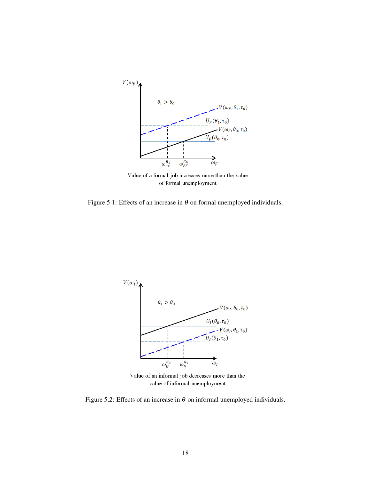

of formal unemployment

Figure 5.1: Effects of an increase in  $\theta$  on formal unemployed individuals.



Value of an informal job decreases more than the value of informal unemployment

Figure 5.2: Effects of an increase in  $\theta$  on informal unemployed individuals.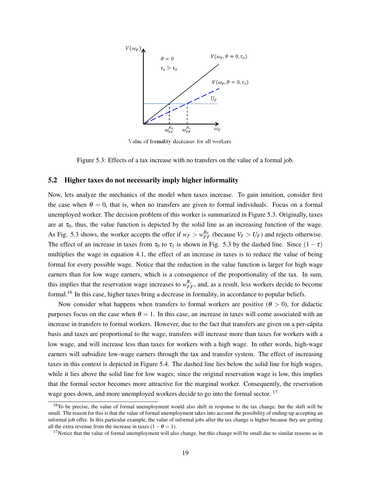

Value of formality decreases for all workers

Figure 5.3: Effects of a tax increase with no transfers on the value of a formal job.

#### 5.2 Higher taxes do not necessarily imply higher informality

Now, lets analyze the mechanics of the model when taxes increase. To gain intuition, consider first the case when  $\theta = 0$ , that is, when no transfers are given to formal individuals. Focus on a formal unemployed worker. The decision problem of this worker is summarized in Figure 5.3. Originally, taxes are at  $\tau_0$ , thus, the value function is depicted by the solid line as an increasing function of the wage. As Fig. 5.3 shows, the worker accepts the offer if  $w_F > w_{FF}^{R_0}$  (because  $V_F > U_F$ ) and rejects otherwise. The effect of an increase in taxes from  $\tau_0$  to  $\tau_1$  is shown in Fig. 5.3 by the dashed line. Since  $(1 - \tau)$ multiplies the wage in equation 4.1, the effect of an increase in taxes is to reduce the value of being formal for every possible wage. Notice that the reduction in the value function is larger for high wage earners than for low wage earners, which is a consequence of the proportionality of the tax. In sum, this implies that the reservation wage increases to  $w_{FF}^{R_1}$ , and, as a result, less workers decide to become formal.<sup>16</sup> In this case, higher taxes bring a decrease in formality, in accordance to popular beliefs.

Now consider what happens when transfers to formal workers are positive  $(\theta > 0)$ , for didactic purposes focus on the case when  $\theta = 1$ . In this case, an increase in taxes will come associated with an increase in transfers to formal workers. However, due to the fact that transfers are given on a per-cápita basis and taxes are proportional to the wage, transfers will increase more than taxes for workers with a low wage, and will increase less than taxes for workers with a high wage. In other words, high-wage earners will subsidize low-wage earners through the tax and transfer system. The effect of increasing taxes in this context is depicted in Figure 5.4. The dashed line lies below the solid line for high wages, while it lies above the solid line for low wages; since the original reservation wage is low, this implies that the formal sector becomes more attractive for the marginal worker. Consequently, the reservation wage goes down, and more unemployed workers decide to go into the formal sector.<sup>17</sup>

 $16$ To be precise, the value of formal unemployment would also shift in response to the tax change, but the shift will be small. The reason for this is that the value of formal unemployment takes into account the possibility of ending-up accepting an informal job offer. In this particular example, the value of informal jobs after the tax change is higher because they are getting all the extra revenue from the increase in taxes  $(1 - \theta = 1)$ .

 $17$ Notice that the value of formal unemployment will also change, but this change will be small due to similar reasons as in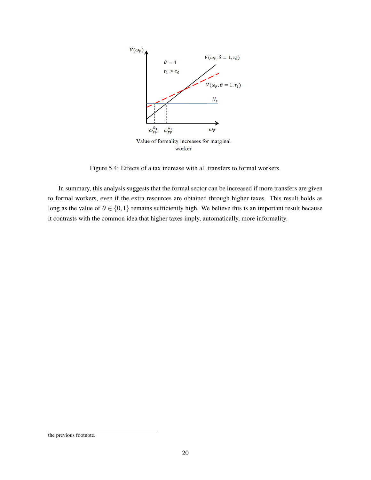

Figure 5.4: Effects of a tax increase with all transfers to formal workers.

In summary, this analysis suggests that the formal sector can be increased if more transfers are given to formal workers, even if the extra resources are obtained through higher taxes. This result holds as long as the value of  $\theta \in \{0,1\}$  remains sufficiently high. We believe this is an important result because it contrasts with the common idea that higher taxes imply, automatically, more informality.

the previous footnote.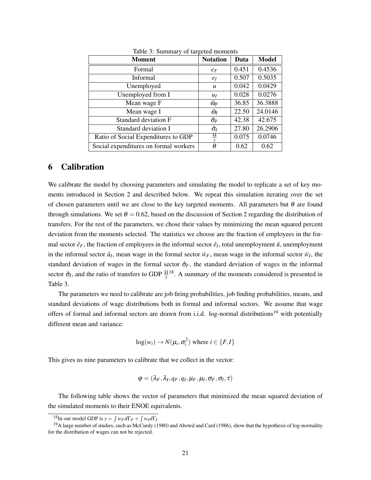| <b>Moment</b>                         | <b>Notation</b>     | Data  | <b>Model</b> |
|---------------------------------------|---------------------|-------|--------------|
| Formal                                | $e_F$               | 0.451 | 0.4536       |
| Informal                              | $e_I$               | 0.507 | 0.5035       |
| Unemployed                            | $\boldsymbol{u}$    | 0.042 | 0.0429       |
| Unemployed from I                     | $u_I$               | 0.028 | 0.0276       |
| Mean wage F                           | $\bar{\omega}_F$    | 36.85 | 36.3888      |
| Mean wage I                           | $\bar{\omega}_I$    | 22.50 | 24.0146      |
| Standard deviation F                  | $\hat{\sigma}_F$    | 42.38 | 42.675       |
| Standard deviation I                  | $\hat{\sigma}_{I}$  | 27.80 | 26.2906      |
| Ratio of Social Expenditures to GDP   | $\overline{\Omega}$ | 0.075 | 0.0746       |
| Social expenditures on formal workers | θ                   | 0.62  | 0.62         |

Table 3: Summary of targeted moments

### 6 Calibration

We calibrate the model by choosing parameters and simulating the model to replicate a set of key moments introduced in Section 2 and described below. We repeat this simulation iterating over the set of chosen parameters until we are close to the key targeted moments. All parameters but  $\theta$  are found through simulations. We set  $\theta = 0.62$ , based on the discussion of Section 2 regarding the distribution of transfers. For the rest of the parameters, we chose their values by minimizing the mean squared percent deviation from the moments selected. The statistics we choose are the fraction of employees in the formal sector  $\hat{e}_F$ , the fraction of employees in the informal sector  $\hat{e}_I$ , total unemployment  $\hat{u}$ , unemployment in the informal sector  $\hat{u}_I$ , mean wage in the formal sector  $\bar{w}_F$ , mean wage in the informal sector  $\bar{w}_I$ , the standard deviation of wages in the formal sector  $\hat{\sigma}_F$ , the standard deviation of wages in the informal sector  $\hat{\sigma}_I$ , and the ratio of transfers to GDP  $\frac{Q}{y}$ <sup>18</sup>. A summary of the moments considered is presented in Table 3.

The parameters we need to calibrate are job firing probabilities, job finding probabilities, means, and standard deviations of wage distributions both in formal and informal sectors. We assume that wage offers of formal and informal sectors are drawn from i.i.d. log-normal distributions<sup>19</sup> with potentially different mean and variance:

$$
\log(w_i) \to N(\mu_i, \sigma_i^2) \text{ where } i \in \{F, I\}
$$

This gives us nine parameters to calibrate that we collect in the vector:

$$
\boldsymbol{\varphi}=(\lambda_F,\lambda_I,q_F,q_I,\mu_F,\mu_I,\sigma_F,\sigma_I,\tau)
$$

The following table shows the vector of parameters that minimized the mean squared deviation of the simulated moments to their ENOE equivalents.

<sup>&</sup>lt;sup>18</sup>In our model GDP is  $y = \int w_F d\Gamma_F + \int w_I d\Gamma_I$ 

<sup>&</sup>lt;sup>19</sup>A large number of studies, such as McCurdy (1980) and Abowd and Card (1986), show that the hypothesis of log-normality for the distribution of wages can not be rejected.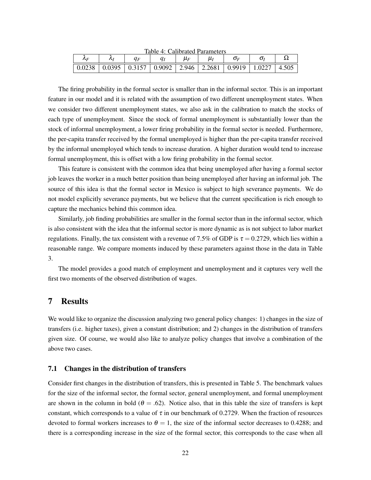|                                                                      | Taon - Canonatou I anameters | $\mu_F$ |  |       |
|----------------------------------------------------------------------|------------------------------|---------|--|-------|
| 0.0238   0.0395   0.3157   0.9092   2.946   2.2681   0.9919   1.0227 |                              |         |  | 4.505 |

Table 4: Calibrated Parameters

The firing probability in the formal sector is smaller than in the informal sector. This is an important feature in our model and it is related with the assumption of two different unemployment states. When we consider two different unemployment states, we also ask in the calibration to match the stocks of each type of unemployment. Since the stock of formal unemployment is substantially lower than the stock of informal unemployment, a lower firing probability in the formal sector is needed. Furthermore, the per-capita transfer received by the formal unemployed is higher than the per-capita transfer received by the informal unemployed which tends to increase duration. A higher duration would tend to increase formal unemployment, this is offset with a low firing probability in the formal sector.

This feature is consistent with the common idea that being unemployed after having a formal sector job leaves the worker in a much better position than being unemployed after having an informal job. The source of this idea is that the formal sector in Mexico is subject to high severance payments. We do not model explicitly severance payments, but we believe that the current specification is rich enough to capture the mechanics behind this common idea.

Similarly, job finding probabilities are smaller in the formal sector than in the informal sector, which is also consistent with the idea that the informal sector is more dynamic as is not subject to labor market regulations. Finally, the tax consistent with a revenue of 7.5% of GDP is  $\tau = 0.2729$ , which lies within a reasonable range. We compare moments induced by these parameters against those in the data in Table 3.

The model provides a good match of employment and unemployment and it captures very well the first two moments of the observed distribution of wages.

# 7 Results

We would like to organize the discussion analyzing two general policy changes: 1) changes in the size of transfers (i.e. higher taxes), given a constant distribution; and 2) changes in the distribution of transfers given size. Of course, we would also like to analyze policy changes that involve a combination of the above two cases.

#### 7.1 Changes in the distribution of transfers

Consider first changes in the distribution of transfers, this is presented in Table 5. The benchmark values for the size of the informal sector, the formal sector, general unemployment, and formal unemployment are shown in the column in bold ( $\theta = .62$ ). Notice also, that in this table the size of transfers is kept constant, which corresponds to a value of  $\tau$  in our benchmark of 0.2729. When the fraction of resources devoted to formal workers increases to  $\theta = 1$ , the size of the informal sector decreases to 0.4288; and there is a corresponding increase in the size of the formal sector, this corresponds to the case when all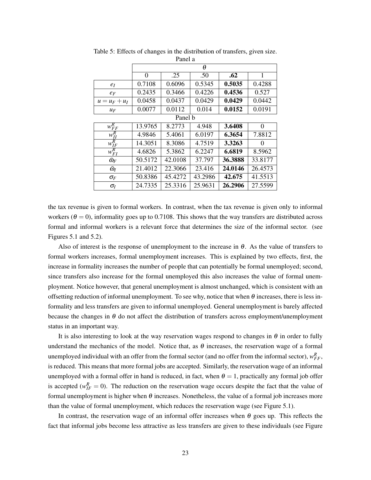|                       | θ        |         |         |         |          |
|-----------------------|----------|---------|---------|---------|----------|
|                       | $\Omega$ | .25     | .50     | .62     | 1        |
| $e_I$                 | 0.7108   | 0.6096  | 0.5345  | 0.5035  | 0.4288   |
| $e_F$                 | 0.2435   | 0.3466  | 0.4226  | 0.4536  | 0.527    |
| $u = u_F + u_I$       | 0.0458   | 0.0437  | 0.0429  | 0.0429  | 0.0442   |
| $u_F$                 | 0.0077   | 0.0112  | 0.014   | 0.0152  | 0.0191   |
|                       |          | Panel b |         |         |          |
| $w_{FF}^R$            | 13.9765  | 8.2773  | 4.948   | 3.6408  | $\Omega$ |
| $w_{II}^R$            | 4.9846   | 5.4061  | 6.0197  | 6.3654  | 7.8812   |
| $w_{IF}^R$            | 14.3051  | 8.3086  | 4.7519  | 3.3263  | $\Omega$ |
| $w_{FI}^R$            | 4.6826   | 5.3862  | 6.2247  | 6.6819  | 8.5962   |
| $\bar{\omega}_F$      | 50.5172  | 42.0108 | 37.797  | 36.3888 | 33.8177  |
| $\bar{\omega}_I$      | 21.4012  | 22.3066 | 23.416  | 24.0146 | 26.4573  |
| $\sigma_F$            | 50.8386  | 45.4272 | 43.2986 | 42.675  | 41.5513  |
| $\sigma$ <sub>I</sub> | 24.7335  | 25.3316 | 25.9631 | 26.2906 | 27.5599  |

Table 5: Effects of changes in the distribution of transfers, given size. Panel a

the tax revenue is given to formal workers. In contrast, when the tax revenue is given only to informal workers ( $\theta = 0$ ), informality goes up to 0.7108. This shows that the way transfers are distributed across formal and informal workers is a relevant force that determines the size of the informal sector. (see Figures 5.1 and 5.2).

Also of interest is the response of unemployment to the increase in  $\theta$ . As the value of transfers to formal workers increases, formal unemployment increases. This is explained by two effects, first, the increase in formality increases the number of people that can potentially be formal unemployed; second, since transfers also increase for the formal unemployed this also increases the value of formal unemployment. Notice however, that general unemployment is almost unchanged, which is consistent with an offsetting reduction of informal unemployment. To see why, notice that when  $\theta$  increases, there is less informality and less transfers are given to informal unemployed. General unemployment is barely affected because the changes in  $\theta$  do not affect the distribution of transfers across employment/unemployment status in an important way.

It is also interesting to look at the way reservation wages respond to changes in  $\theta$  in order to fully understand the mechanics of the model. Notice that, as  $\theta$  increases, the reservation wage of a formal unemployed individual with an offer from the formal sector (and no offer from the informal sector),  $w_{FF}^R$ , is reduced. This means that more formal jobs are accepted. Similarly, the reservation wage of an informal unemployed with a formal offer in hand is reduced, in fact, when  $\theta = 1$ , practically any formal job offer is accepted ( $w_{IF}^{R} = 0$ ). The reduction on the reservation wage occurs despite the fact that the value of formal unemployment is higher when  $\theta$  increases. Nonetheless, the value of a formal job increases more than the value of formal unemployment, which reduces the reservation wage (see Figure 5.1).

In contrast, the reservation wage of an informal offer increases when  $\theta$  goes up. This reflects the fact that informal jobs become less attractive as less transfers are given to these individuals (see Figure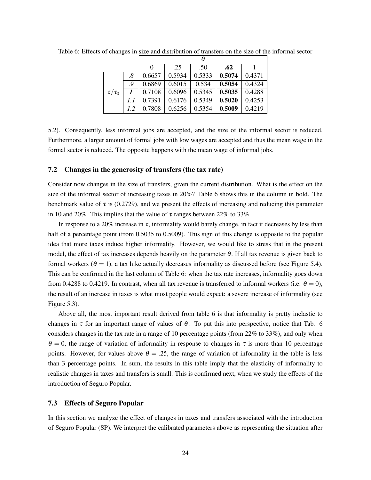|               |     | 0      | .25    | .50    | .62    |        |
|---------------|-----|--------|--------|--------|--------|--------|
|               | .8  | 0.6657 | 0.5934 | 0.5333 | 0.5074 | 0.4371 |
|               | - 9 | 0.6869 | 0.6015 | 0.534  | 0.5054 | 0.4324 |
| $\tau/\tau_0$ |     | 0.7108 | 0.6096 | 0.5345 | 0.5035 | 0.4288 |
|               | 1.1 | 0.7391 | 0.6176 | 0.5349 | 0.5020 | 0.4253 |
|               | 1.2 | 0.7808 | 0.6256 | 0.5354 | 0.5009 | 0.4219 |

Table 6: Effects of changes in size and distribution of transfers on the size of the informal sector

5.2). Consequently, less informal jobs are accepted, and the size of the informal sector is reduced. Furthermore, a larger amount of formal jobs with low wages are accepted and thus the mean wage in the formal sector is reduced. The opposite happens with the mean wage of informal jobs.

#### 7.2 Changes in the generosity of transfers (the tax rate)

Consider now changes in the size of transfers, given the current distribution. What is the effect on the size of the informal sector of increasing taxes in 20%? Table 6 shows this in the column in bold. The benchmark value of  $\tau$  is (0.2729), and we present the effects of increasing and reducing this parameter in 10 and 20%. This implies that the value of  $\tau$  ranges between 22% to 33%.

In response to a 20% increase in  $\tau$ , informality would barely change, in fact it decreases by less than half of a percentage point (from 0.5035 to 0.5009). This sign of this change is opposite to the popular idea that more taxes induce higher informality. However, we would like to stress that in the present model, the effect of tax increases depends heavily on the parameter  $\theta$ . If all tax revenue is given back to formal workers ( $\theta = 1$ ), a tax hike actually decreases informality as discussed before (see Figure 5.4). This can be confirmed in the last column of Table 6: when the tax rate increases, informality goes down from 0.4288 to 0.4219. In contrast, when all tax revenue is transferred to informal workers (i.e.  $\theta = 0$ ), the result of an increase in taxes is what most people would expect: a severe increase of informality (see Figure 5.3).

Above all, the most important result derived from table 6 is that informality is pretty inelastic to changes in  $\tau$  for an important range of values of  $\theta$ . To put this into perspective, notice that Tab. 6 considers changes in the tax rate in a range of 10 percentage points (from 22% to 33%), and only when  $\theta = 0$ , the range of variation of informality in response to changes in  $\tau$  is more than 10 percentage points. However, for values above  $\theta = 0.25$ , the range of variation of informality in the table is less than 3 percentage points. In sum, the results in this table imply that the elasticity of informality to realistic changes in taxes and transfers is small. This is confirmed next, when we study the effects of the introduction of Seguro Popular.

### 7.3 Effects of Seguro Popular

In this section we analyze the effect of changes in taxes and transfers associated with the introduction of Seguro Popular (SP). We interpret the calibrated parameters above as representing the situation after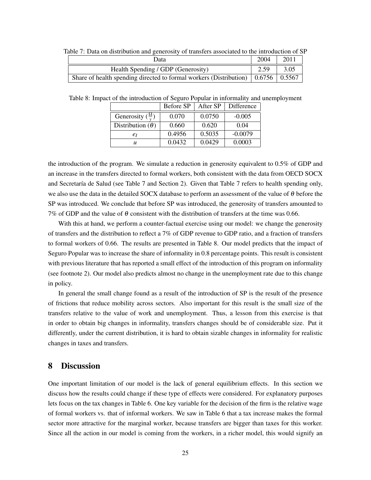| Data                                                                                                 | 2004 | 2011 |
|------------------------------------------------------------------------------------------------------|------|------|
| Health Spending / GDP (Generosity)                                                                   | 2.59 | 3.05 |
| Share of health spending directed to formal workers (Distribution) $\vert 0.6756 \vert 0.5567 \vert$ |      |      |

Table 7: Data on distribution and generosity of transfers associated to the introduction of SP

Table 8: Impact of the introduction of Seguro Popular in informality and unemployment

|                                 | Before SP | After SP | Difference |
|---------------------------------|-----------|----------|------------|
| Generosity $(\frac{\Omega}{v})$ | 0.070     | 0.0750   | $-0.005$   |
| Distribution $(\theta)$         | 0.660     | 0.620    | 0.04       |
| $e_I$                           | 0.4956    | 0.5035   | $-0.0079$  |
| $\boldsymbol{u}$                | 0.0432    | 0.0429   | 0.0003     |

the introduction of the program. We simulate a reduction in generosity equivalent to 0.5% of GDP and an increase in the transfers directed to formal workers, both consistent with the data from OECD SOCX and Secretaría de Salud (see Table 7 and Section 2). Given that Table 7 refers to health spending only, we also use the data in the detailed SOCX database to perform an assessment of the value of  $\theta$  before the SP was introduced. We conclude that before SP was introduced, the generosity of transfers amounted to 7% of GDP and the value of  $\theta$  consistent with the distribution of transfers at the time was 0.66.

With this at hand, we perform a counter-factual exercise using our model: we change the generosity of transfers and the distribution to reflect a 7% of GDP revenue to GDP ratio, and a fraction of transfers to formal workers of 0.66. The results are presented in Table 8. Our model predicts that the impact of Seguro Popular was to increase the share of informality in 0.8 percentage points. This result is consistent with previous literature that has reported a small effect of the introduction of this program on informality (see footnote 2). Our model also predicts almost no change in the unemployment rate due to this change in policy.

In general the small change found as a result of the introduction of SP is the result of the presence of frictions that reduce mobility across sectors. Also important for this result is the small size of the transfers relative to the value of work and unemployment. Thus, a lesson from this exercise is that in order to obtain big changes in informality, transfers changes should be of considerable size. Put it differently, under the current distribution, it is hard to obtain sizable changes in informality for realistic changes in taxes and transfers.

## 8 Discussion

One important limitation of our model is the lack of general equilibrium effects. In this section we discuss how the results could change if these type of effects were considered. For explanatory purposes lets focus on the tax changes in Table 6. One key variable for the decision of the firm is the relative wage of formal workers vs. that of informal workers. We saw in Table 6 that a tax increase makes the formal sector more attractive for the marginal worker, because transfers are bigger than taxes for this worker. Since all the action in our model is coming from the workers, in a richer model, this would signify an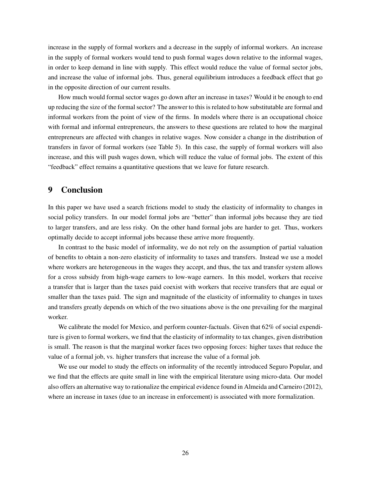increase in the supply of formal workers and a decrease in the supply of informal workers. An increase in the supply of formal workers would tend to push formal wages down relative to the informal wages, in order to keep demand in line with supply. This effect would reduce the value of formal sector jobs, and increase the value of informal jobs. Thus, general equilibrium introduces a feedback effect that go in the opposite direction of our current results.

How much would formal sector wages go down after an increase in taxes? Would it be enough to end up reducing the size of the formal sector? The answer to this is related to how substitutable are formal and informal workers from the point of view of the firms. In models where there is an occupational choice with formal and informal entrepreneurs, the answers to these questions are related to how the marginal entrepreneurs are affected with changes in relative wages. Now consider a change in the distribution of transfers in favor of formal workers (see Table 5). In this case, the supply of formal workers will also increase, and this will push wages down, which will reduce the value of formal jobs. The extent of this "feedback" effect remains a quantitative questions that we leave for future research.

# 9 Conclusion

In this paper we have used a search frictions model to study the elasticity of informality to changes in social policy transfers. In our model formal jobs are "better" than informal jobs because they are tied to larger transfers, and are less risky. On the other hand formal jobs are harder to get. Thus, workers optimally decide to accept informal jobs because these arrive more frequently.

In contrast to the basic model of informality, we do not rely on the assumption of partial valuation of benefits to obtain a non-zero elasticity of informality to taxes and transfers. Instead we use a model where workers are heterogeneous in the wages they accept, and thus, the tax and transfer system allows for a cross subsidy from high-wage earners to low-wage earners. In this model, workers that receive a transfer that is larger than the taxes paid coexist with workers that receive transfers that are equal or smaller than the taxes paid. The sign and magnitude of the elasticity of informality to changes in taxes and transfers greatly depends on which of the two situations above is the one prevailing for the marginal worker.

We calibrate the model for Mexico, and perform counter-factuals. Given that 62% of social expenditure is given to formal workers, we find that the elasticity of informality to tax changes, given distribution is small. The reason is that the marginal worker faces two opposing forces: higher taxes that reduce the value of a formal job, vs. higher transfers that increase the value of a formal job.

We use our model to study the effects on informality of the recently introduced Seguro Popular, and we find that the effects are quite small in line with the empirical literature using micro-data. Our model also offers an alternative way to rationalize the empirical evidence found in Almeida and Carneiro (2012), where an increase in taxes (due to an increase in enforcement) is associated with more formalization.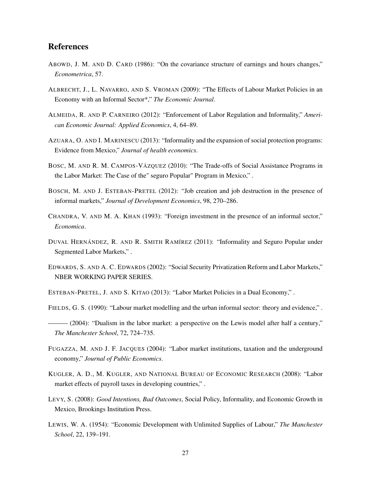# References

- ABOWD, J. M. AND D. CARD (1986): "On the covariance structure of earnings and hours changes," *Econometrica*, 57.
- ALBRECHT, J., L. NAVARRO, AND S. VROMAN (2009): "The Effects of Labour Market Policies in an Economy with an Informal Sector\*," *The Economic Journal*.
- ALMEIDA, R. AND P. CARNEIRO (2012): "Enforcement of Labor Regulation and Informality," *American Economic Journal: Applied Economics*, 4, 64–89.
- AZUARA, O. AND I. MARINESCU (2013): "Informality and the expansion of social protection programs: Evidence from Mexico," *Journal of health economics*.
- BOSC, M. AND R. M. CAMPOS-VÁZQUEZ (2010): "The Trade-offs of Social Assistance Programs in the Labor Market: The Case of the" seguro Popular" Program in Mexico," .
- BOSCH, M. AND J. ESTEBAN-PRETEL (2012): "Job creation and job destruction in the presence of informal markets," *Journal of Development Economics*, 98, 270–286.
- CHANDRA, V. AND M. A. KHAN (1993): "Foreign investment in the presence of an informal sector," *Economica*.
- DUVAL HERNÁNDEZ, R. AND R. SMITH RAMÍREZ (2011): "Informality and Seguro Popular under Segmented Labor Markets," .
- EDWARDS, S. AND A. C. EDWARDS (2002): "Social Security Privatization Reform and Labor Markets," NBER WORKING PAPER SERIES.
- ESTEBAN-PRETEL, J. AND S. KITAO (2013): "Labor Market Policies in a Dual Economy," .
- FIELDS, G. S. (1990): "Labour market modelling and the urban informal sector: theory and evidence," .
- ——— (2004): "Dualism in the labor market: a perspective on the Lewis model after half a century," *The Manchester School*, 72, 724–735.
- FUGAZZA, M. AND J. F. JACQUES (2004): "Labor market institutions, taxation and the underground economy," *Journal of Public Economics*.
- KUGLER, A. D., M. KUGLER, AND NATIONAL BUREAU OF ECONOMIC RESEARCH (2008): "Labor market effects of payroll taxes in developing countries," .
- LEVY, S. (2008): *Good Intentions, Bad Outcomes*, Social Policy, Informality, and Economic Growth in Mexico, Brookings Institution Press.
- LEWIS, W. A. (1954): "Economic Development with Unlimited Supplies of Labour," *The Manchester School*, 22, 139–191.